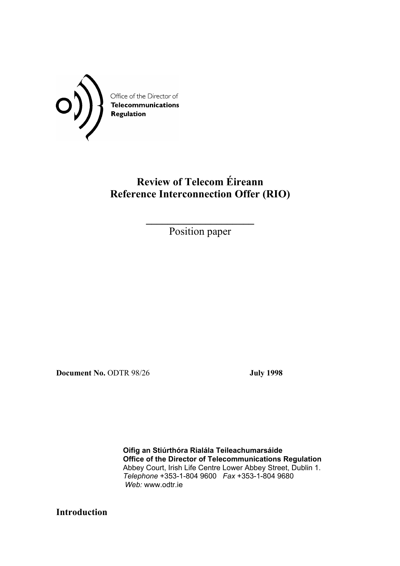

# **Review of Telecom Éireann Reference Interconnection Offer (RIO)**

**\_\_\_\_\_\_\_\_\_\_\_\_\_\_\_\_\_\_\_\_**  Position paper

**Document No.** ODTR 98/26 **July 1998** 

 **Oifig an Stiúrthóra Rialála Teileachumarsáide Office of the Director of Telecommunications Regulation**  Abbey Court, Irish Life Centre Lower Abbey Street, Dublin 1. *Telephone* +353-1-804 9600 *Fax* +353-1-804 9680 *Web:* www.odtr.ie

**Introduction**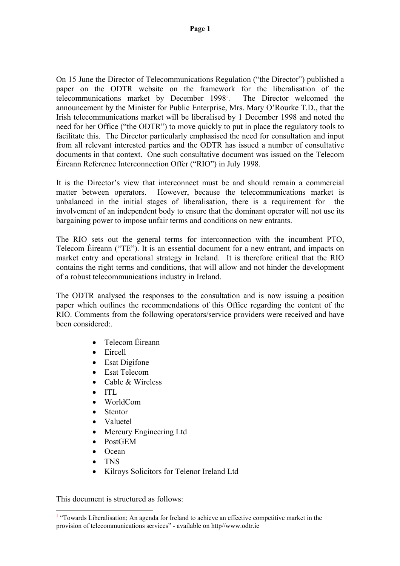On 15 June the Director of Telecommunications Regulation ("the Director") published a paper on the ODTR website on the framework for the liberalisation of the telecommunications market by December 1998<sup>1</sup>. . The Director welcomed the announcement by the Minister for Public Enterprise, Mrs. Mary O'Rourke T.D., that the Irish telecommunications market will be liberalised by 1 December 1998 and noted the need for her Office ("the ODTR") to move quickly to put in place the regulatory tools to facilitate this. The Director particularly emphasised the need for consultation and input from all relevant interested parties and the ODTR has issued a number of consultative documents in that context. One such consultative document was issued on the Telecom Éireann Reference Interconnection Offer ("RIO") in July 1998.

It is the Director's view that interconnect must be and should remain a commercial matter between operators. However, because the telecommunications market is unbalanced in the initial stages of liberalisation, there is a requirement for the involvement of an independent body to ensure that the dominant operator will not use its bargaining power to impose unfair terms and conditions on new entrants.

The RIO sets out the general terms for interconnection with the incumbent PTO, Telecom Éireann ("TE"). It is an essential document for a new entrant, and impacts on market entry and operational strategy in Ireland. It is therefore critical that the RIO contains the right terms and conditions, that will allow and not hinder the development of a robust telecommunications industry in Ireland.

The ODTR analysed the responses to the consultation and is now issuing a position paper which outlines the recommendations of this Office regarding the content of the RIO. Comments from the following operators/service providers were received and have been considered:.

- Telecom Éireann
- Eircell
- Esat Digifone
- Esat Telecom
- Cable & Wireless
- ITL
- WorldCom
- Stentor
- Valuetel
- Mercury Engineering Ltd
- PostGEM
- Ocean
- TNS
- Kilroys Solicitors for Telenor Ireland Ltd

This document is structured as follows:

<sup>&</sup>lt;sup>1</sup> "Towards Liberalisation; An agenda for Ireland to achieve an effective competitive market in the provision of telecommunications services" - available on http//www.odtr.ie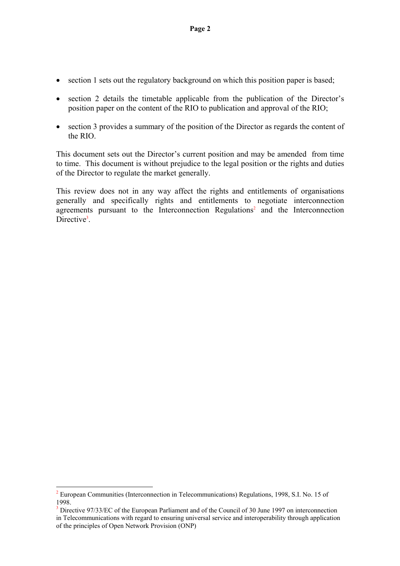- section 1 sets out the regulatory background on which this position paper is based;
- section 2 details the timetable applicable from the publication of the Director's position paper on the content of the RIO to publication and approval of the RIO;
- section 3 provides a summary of the position of the Director as regards the content of the RIO.

This document sets out the Director's current position and may be amended from time to time. This document is without prejudice to the legal position or the rights and duties of the Director to regulate the market generally.

This review does not in any way affect the rights and entitlements of organisations generally and specifically rights and entitlements to negotiate interconnection agreements pursuant to the Interconnection Regulations<sup>2</sup> and the Interconnection Directive<sup>3</sup>.

<sup>&</sup>lt;sup>2</sup> European Communities (Interconnection in Telecommunications) Regulations, 1998, S.I. No. 15 of 1998.

<sup>&</sup>lt;sup>3</sup> Directive 97/33/EC of the European Parliament and of the Council of 30 June 1997 on interconnection in Telecommunications with regard to ensuring universal service and interoperability through application of the principles of Open Network Provision (ONP)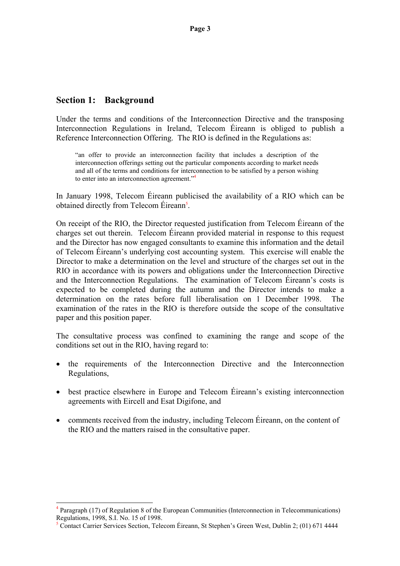### **Section 1: Background**

Under the terms and conditions of the Interconnection Directive and the transposing Interconnection Regulations in Ireland, Telecom Éireann is obliged to publish a Reference Interconnection Offering. The RIO is defined in the Regulations as:

"an offer to provide an interconnection facility that includes a description of the interconnection offerings setting out the particular components according to market needs and all of the terms and conditions for interconnection to be satisfied by a person wishing to enter into an interconnection agreement."4

In January 1998, Telecom Éireann publicised the availability of a RIO which can be obtained directly from Telecom Éireann<sup>5</sup>.

On receipt of the RIO, the Director requested justification from Telecom Éireann of the charges set out therein. Telecom Éireann provided material in response to this request and the Director has now engaged consultants to examine this information and the detail of Telecom Éireann's underlying cost accounting system. This exercise will enable the Director to make a determination on the level and structure of the charges set out in the RIO in accordance with its powers and obligations under the Interconnection Directive and the Interconnection Regulations. The examination of Telecom Éireann's costs is expected to be completed during the autumn and the Director intends to make a determination on the rates before full liberalisation on 1 December 1998. The examination of the rates in the RIO is therefore outside the scope of the consultative paper and this position paper.

The consultative process was confined to examining the range and scope of the conditions set out in the RIO, having regard to:

- the requirements of the Interconnection Directive and the Interconnection Regulations,
- best practice elsewhere in Europe and Telecom Éireann's existing interconnection agreements with Eircell and Esat Digifone, and
- comments received from the industry, including Telecom Éireann, on the content of the RIO and the matters raised in the consultative paper.

<sup>4</sup> Paragraph (17) of Regulation 8 of the European Communities (Interconnection in Telecommunications) Regulations, 1998, S.I. No. 15 of 1998.

<sup>&</sup>lt;sup>5</sup> Contact Carrier Services Section, Telecom Éireann, St Stephen's Green West, Dublin 2; (01) 671 4444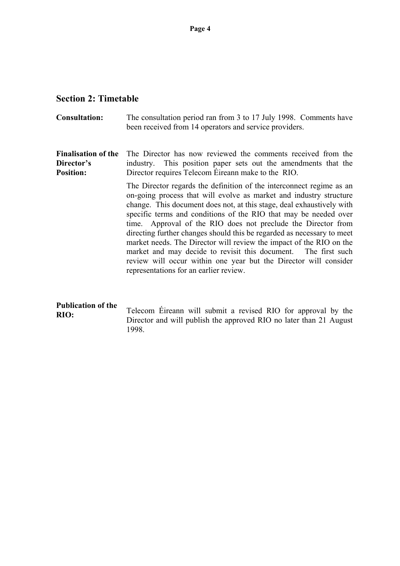### **Section 2: Timetable**

**Consultation:** The consultation period ran from 3 to 17 July 1998. Comments have been received from 14 operators and service providers.

**Finalisation of the Director's Position:**  The Director has now reviewed the comments received from the industry. This position paper sets out the amendments that the Director requires Telecom Éireann make to the RIO.

> The Director regards the definition of the interconnect regime as an on-going process that will evolve as market and industry structure change. This document does not, at this stage, deal exhaustively with specific terms and conditions of the RIO that may be needed over time. Approval of the RIO does not preclude the Director from directing further changes should this be regarded as necessary to meet market needs. The Director will review the impact of the RIO on the market and may decide to revisit this document. The first such review will occur within one year but the Director will consider representations for an earlier review.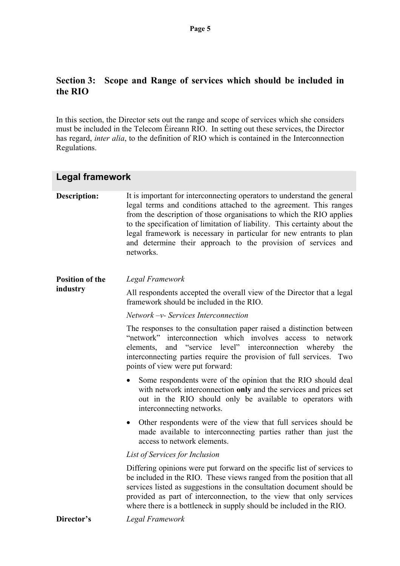## **Section 3: Scope and Range of services which should be included in the RIO**

In this section, the Director sets out the range and scope of services which she considers must be included in the Telecom Éireann RIO. In setting out these services, the Director has regard, *inter alia*, to the definition of RIO which is contained in the Interconnection Regulations.

| <b>Legal framework</b>             |                                                                                                                                                                                                                                                                                                                                                                                                                                                        |
|------------------------------------|--------------------------------------------------------------------------------------------------------------------------------------------------------------------------------------------------------------------------------------------------------------------------------------------------------------------------------------------------------------------------------------------------------------------------------------------------------|
| <b>Description:</b>                | It is important for interconnecting operators to understand the general<br>legal terms and conditions attached to the agreement. This ranges<br>from the description of those organisations to which the RIO applies<br>to the specification of limitation of liability. This certainty about the<br>legal framework is necessary in particular for new entrants to plan<br>and determine their approach to the provision of services and<br>networks. |
| <b>Position of the</b><br>industry | Legal Framework                                                                                                                                                                                                                                                                                                                                                                                                                                        |
|                                    | All respondents accepted the overall view of the Director that a legal<br>framework should be included in the RIO.                                                                                                                                                                                                                                                                                                                                     |
|                                    | Network -v- Services Interconnection                                                                                                                                                                                                                                                                                                                                                                                                                   |
|                                    | The responses to the consultation paper raised a distinction between<br>interconnection which involves access to network<br>"network"<br>and "service level" interconnection whereby<br>elements,<br>the<br>interconnecting parties require the provision of full services. Two<br>points of view were put forward:                                                                                                                                    |
|                                    | Some respondents were of the opinion that the RIO should deal<br>$\bullet$<br>with network interconnection only and the services and prices set<br>out in the RIO should only be available to operators with<br>interconnecting networks.                                                                                                                                                                                                              |
|                                    | Other respondents were of the view that full services should be<br>$\bullet$<br>made available to interconnecting parties rather than just the<br>access to network elements.                                                                                                                                                                                                                                                                          |
|                                    | List of Services for Inclusion                                                                                                                                                                                                                                                                                                                                                                                                                         |
|                                    | Differing opinions were put forward on the specific list of services to<br>be included in the RIO. These views ranged from the position that all<br>services listed as suggestions in the consultation document should be<br>provided as part of interconnection, to the view that only services<br>where there is a bottleneck in supply should be included in the RIO.                                                                               |
| Director's                         | Legal Framework                                                                                                                                                                                                                                                                                                                                                                                                                                        |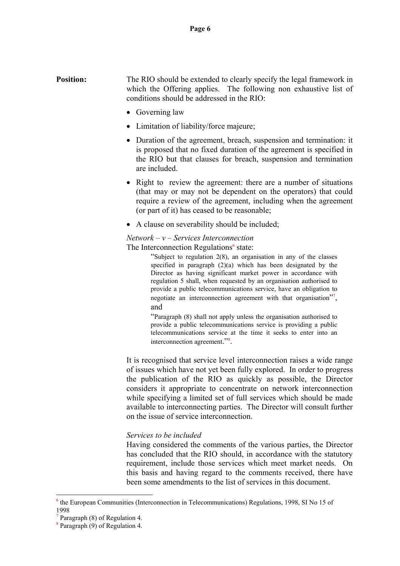### **Position:** The RIO should be extended to clearly specify the legal framework in which the Offering applies. The following non exhaustive list of conditions should be addressed in the RIO:

- Governing law
- Limitation of liability/force majeure;
- Duration of the agreement, breach, suspension and termination: it is proposed that no fixed duration of the agreement is specified in the RIO but that clauses for breach, suspension and termination are included.
- Right to review the agreement: there are a number of situations (that may or may not be dependent on the operators) that could require a review of the agreement, including when the agreement (or part of it) has ceased to be reasonable;
- A clause on severability should be included;

### *Network – v – Services Interconnection*

The Interconnection Regulations<sup>6</sup> state:

"Subject to regulation 2(8), an organisation in any of the classes specified in paragraph (2)(a) which has been designated by the Director as having significant market power in accordance with regulation 5 shall, when requested by an organisation authorised to provide a public telecommunications service, have an obligation to negotiate an interconnection agreement with that organisation"<sup>7</sup>, and

"Paragraph (8) shall not apply unless the organisation authorised to provide a public telecommunications service is providing a public telecommunications service at the time it seeks to enter into an interconnection agreement."8 .

It is recognised that service level interconnection raises a wide range of issues which have not yet been fully explored. In order to progress the publication of the RIO as quickly as possible, the Director considers it appropriate to concentrate on network interconnection while specifying a limited set of full services which should be made available to interconnecting parties. The Director will consult further on the issue of service interconnection.

### *Services to be included*

Having considered the comments of the various parties, the Director has concluded that the RIO should, in accordance with the statutory requirement, include those services which meet market needs. On this basis and having regard to the comments received, there have been some amendments to the list of services in this document.

 $\overline{a}$ 

<sup>&</sup>lt;sup>6</sup> the European Communities (Interconnection in Telecommunications) Regulations, 1998, SI No 15 of 1998

<sup>7</sup> Paragraph (8) of Regulation 4.

<sup>8</sup> Paragraph (9) of Regulation 4.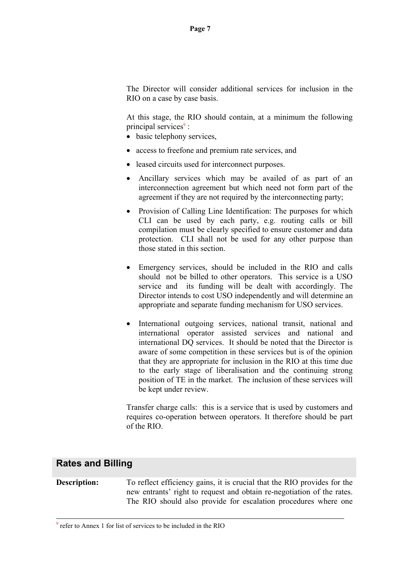The Director will consider additional services for inclusion in the RIO on a case by case basis.

At this stage, the RIO should contain, at a minimum the following principal services<sup>9</sup>:

- basic telephony services,
- access to freefone and premium rate services, and
- leased circuits used for interconnect purposes.
- Ancillary services which may be availed of as part of an interconnection agreement but which need not form part of the agreement if they are not required by the interconnecting party;
- Provision of Calling Line Identification: The purposes for which CLI can be used by each party, e.g. routing calls or bill compilation must be clearly specified to ensure customer and data protection. CLI shall not be used for any other purpose than those stated in this section.
- Emergency services, should be included in the RIO and calls should not be billed to other operators. This service is a USO service and its funding will be dealt with accordingly. The Director intends to cost USO independently and will determine an appropriate and separate funding mechanism for USO services.
- International outgoing services, national transit, national and international operator assisted services and national and international DQ services. It should be noted that the Director is aware of some competition in these services but is of the opinion that they are appropriate for inclusion in the RIO at this time due to the early stage of liberalisation and the continuing strong position of TE in the market. The inclusion of these services will be kept under review.

Transfer charge calls: this is a service that is used by customers and requires co-operation between operators. It therefore should be part of the RIO.

### **Rates and Billing**

**Description:** To reflect efficiency gains, it is crucial that the RIO provides for the new entrants' right to request and obtain re-negotiation of the rates. The RIO should also provide for escalation procedures where one

-<br>9  $\frac{9}{9}$  refer to Annex 1 for list of services to be included in the RIO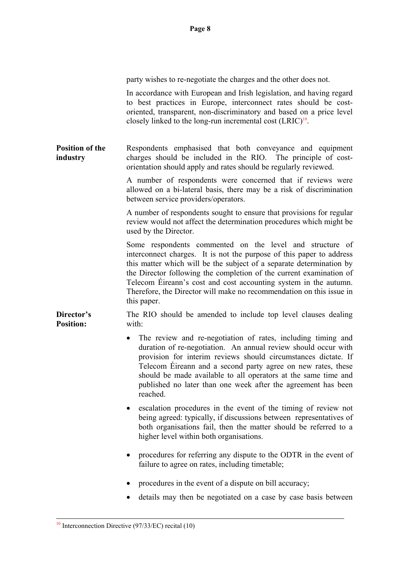party wishes to re-negotiate the charges and the other does not.

In accordance with European and Irish legislation, and having regard to best practices in Europe, interconnect rates should be costoriented, transparent, non-discriminatory and based on a price level closely linked to the long-run incremental cost  $(LRIC)^{10}$ .

**Position of the industry**  Respondents emphasised that both conveyance and equipment charges should be included in the RIO. The principle of costorientation should apply and rates should be regularly reviewed.

> A number of respondents were concerned that if reviews were allowed on a bi-lateral basis, there may be a risk of discrimination between service providers/operators.

> A number of respondents sought to ensure that provisions for regular review would not affect the determination procedures which might be used by the Director.

> Some respondents commented on the level and structure of interconnect charges. It is not the purpose of this paper to address this matter which will be the subject of a separate determination by the Director following the completion of the current examination of Telecom Éireann's cost and cost accounting system in the autumn. Therefore, the Director will make no recommendation on this issue in this paper.

**Director's Position:**  The RIO should be amended to include top level clauses dealing with:

- The review and re-negotiation of rates, including timing and duration of re-negotiation. An annual review should occur with provision for interim reviews should circumstances dictate. If Telecom Éireann and a second party agree on new rates, these should be made available to all operators at the same time and published no later than one week after the agreement has been reached.
- escalation procedures in the event of the timing of review not being agreed: typically, if discussions between representatives of both organisations fail, then the matter should be referred to a higher level within both organisations.
- procedures for referring any dispute to the ODTR in the event of failure to agree on rates, including timetable;
- procedures in the event of a dispute on bill accuracy;
- details may then be negotiated on a case by case basis between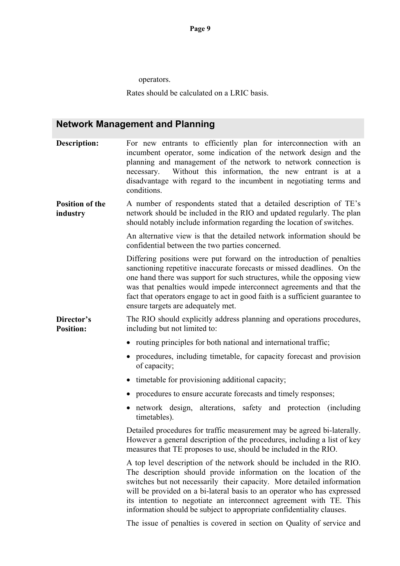operators.

Rates should be calculated on a LRIC basis.

# **Network Management and Planning**

| <b>Description:</b>                | For new entrants to efficiently plan for interconnection with an<br>incumbent operator, some indication of the network design and the<br>planning and management of the network to network connection is<br>Without this information, the new entrant is at a<br>necessary.<br>disadvantage with regard to the incumbent in negotiating terms and<br>conditions.                                                                               |
|------------------------------------|------------------------------------------------------------------------------------------------------------------------------------------------------------------------------------------------------------------------------------------------------------------------------------------------------------------------------------------------------------------------------------------------------------------------------------------------|
| <b>Position of the</b><br>industry | A number of respondents stated that a detailed description of TE's<br>network should be included in the RIO and updated regularly. The plan<br>should notably include information regarding the location of switches.                                                                                                                                                                                                                          |
|                                    | An alternative view is that the detailed network information should be<br>confidential between the two parties concerned.                                                                                                                                                                                                                                                                                                                      |
|                                    | Differing positions were put forward on the introduction of penalties<br>sanctioning repetitive inaccurate forecasts or missed deadlines. On the<br>one hand there was support for such structures, while the opposing view<br>was that penalties would impede interconnect agreements and that the<br>fact that operators engage to act in good faith is a sufficient guarantee to<br>ensure targets are adequately met.                      |
| Director's<br><b>Position:</b>     | The RIO should explicitly address planning and operations procedures,<br>including but not limited to:                                                                                                                                                                                                                                                                                                                                         |
|                                    | routing principles for both national and international traffic;                                                                                                                                                                                                                                                                                                                                                                                |
|                                    | procedures, including timetable, for capacity forecast and provision<br>of capacity;                                                                                                                                                                                                                                                                                                                                                           |
|                                    | timetable for provisioning additional capacity;<br>$\bullet$                                                                                                                                                                                                                                                                                                                                                                                   |
|                                    | procedures to ensure accurate forecasts and timely responses;                                                                                                                                                                                                                                                                                                                                                                                  |
|                                    | network design, alterations, safety and protection (including<br>timetables).                                                                                                                                                                                                                                                                                                                                                                  |
|                                    | Detailed procedures for traffic measurement may be agreed bi-laterally.<br>However a general description of the procedures, including a list of key<br>measures that TE proposes to use, should be included in the RIO.                                                                                                                                                                                                                        |
|                                    | A top level description of the network should be included in the RIO.<br>The description should provide information on the location of the<br>switches but not necessarily their capacity. More detailed information<br>will be provided on a bi-lateral basis to an operator who has expressed<br>its intention to negotiate an interconnect agreement with TE. This<br>information should be subject to appropriate confidentiality clauses. |
|                                    | The issue of penalties is covered in section on Quality of service and                                                                                                                                                                                                                                                                                                                                                                         |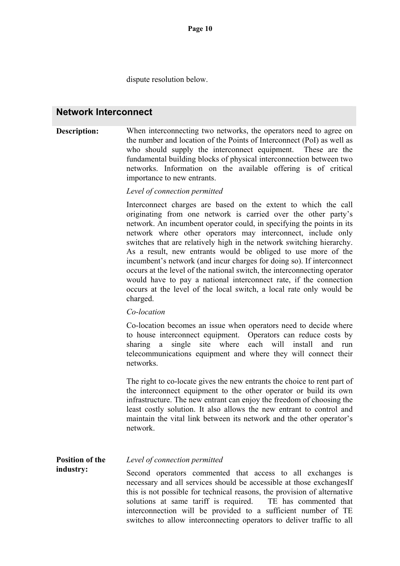dispute resolution below.

### **Network Interconnect**

### **Description:** When interconnecting two networks, the operators need to agree on the number and location of the Points of Interconnect (PoI) as well as who should supply the interconnect equipment. These are the fundamental building blocks of physical interconnection between two networks. Information on the available offering is of critical importance to new entrants.

### *Level of connection permitted*

Interconnect charges are based on the extent to which the call originating from one network is carried over the other party's network. An incumbent operator could, in specifying the points in its network where other operators may interconnect, include only switches that are relatively high in the network switching hierarchy. As a result, new entrants would be obliged to use more of the incumbent's network (and incur charges for doing so). If interconnect occurs at the level of the national switch, the interconnecting operator would have to pay a national interconnect rate, if the connection occurs at the level of the local switch, a local rate only would be charged.

### *Co-location*

Co-location becomes an issue when operators need to decide where to house interconnect equipment. Operators can reduce costs by sharing a single site where each will install and run telecommunications equipment and where they will connect their networks.

The right to co-locate gives the new entrants the choice to rent part of the interconnect equipment to the other operator or build its own infrastructure. The new entrant can enjoy the freedom of choosing the least costly solution. It also allows the new entrant to control and maintain the vital link between its network and the other operator's network.

#### **Position of the**  *Level of connection permitted*

**industry:** 

Second operators commented that access to all exchanges is necessary and all services should be accessible at those exchangesIf this is not possible for technical reasons, the provision of alternative solutions at same tariff is required. TE has commented that interconnection will be provided to a sufficient number of TE switches to allow interconnecting operators to deliver traffic to all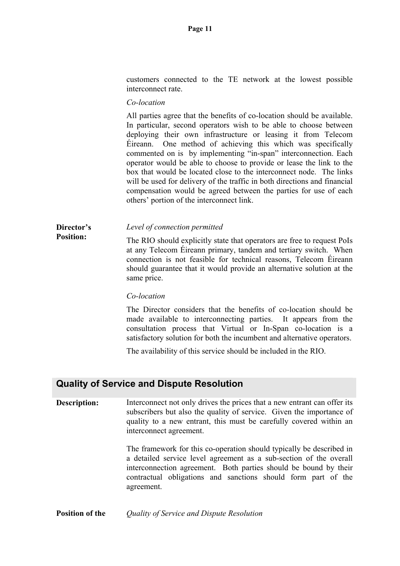customers connected to the TE network at the lowest possible interconnect rate.

### *Co-location*

All parties agree that the benefits of co-location should be available. In particular, second operators wish to be able to choose between deploying their own infrastructure or leasing it from Telecom Éireann. One method of achieving this which was specifically commented on is by implementing "in-span" interconnection. Each operator would be able to choose to provide or lease the link to the box that would be located close to the interconnect node. The links will be used for delivery of the traffic in both directions and financial compensation would be agreed between the parties for use of each others' portion of the interconnect link.

### **Director's**  *Level of connection permitted*

**Position:**  The RIO should explicitly state that operators are free to request PoIs at any Telecom Éireann primary, tandem and tertiary switch.When connection is not feasible for technical reasons, Telecom Éireann should guarantee that it would provide an alternative solution at the same price.

### *Co-location*

The Director considers that the benefits of co-location should be made available to interconnecting parties. It appears from the consultation process that Virtual or In-Span co-location is a satisfactory solution for both the incumbent and alternative operators.

The availability of this service should be included in the RIO.

### **Quality of Service and Dispute Resolution**

**Description:** Interconnect not only drives the prices that a new entrant can offer its subscribers but also the quality of service. Given the importance of quality to a new entrant, this must be carefully covered within an interconnect agreement.

> The framework for this co-operation should typically be described in a detailed service level agreement as a sub-section of the overall interconnection agreement. Both parties should be bound by their contractual obligations and sanctions should form part of the agreement.

**Position of the** *Quality of Service and Dispute Resolution*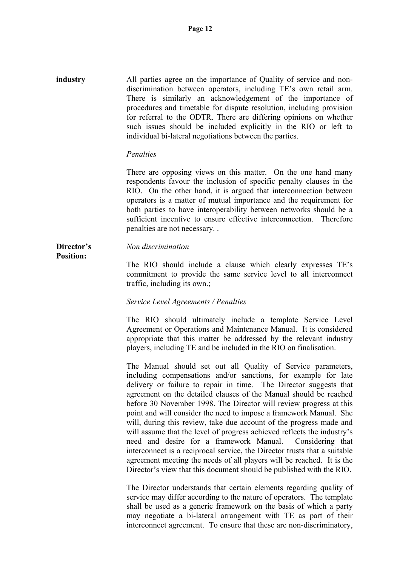**industry** All parties agree on the importance of Quality of service and nondiscrimination between operators, including TE's own retail arm. There is similarly an acknowledgement of the importance of procedures and timetable for dispute resolution, including provision for referral to the ODTR. There are differing opinions on whether such issues should be included explicitly in the RIO or left to individual bi-lateral negotiations between the parties.

### *Penalties*

There are opposing views on this matter. On the one hand many respondents favour the inclusion of specific penalty clauses in the RIO. On the other hand, it is argued that interconnection between operators is a matter of mutual importance and the requirement for both parties to have interoperability between networks should be a sufficient incentive to ensure effective interconnection. Therefore penalties are not necessary. .

#### **Director's**  *Non discrimination*

**Position:** 

The RIO should include a clause which clearly expresses TE's commitment to provide the same service level to all interconnect traffic, including its own.;

### *Service Level Agreements / Penalties*

The RIO should ultimately include a template Service Level Agreement or Operations and Maintenance Manual. It is considered appropriate that this matter be addressed by the relevant industry players, including TE and be included in the RIO on finalisation.

The Manual should set out all Quality of Service parameters, including compensations and/or sanctions, for example for late delivery or failure to repair in time. The Director suggests that agreement on the detailed clauses of the Manual should be reached before 30 November 1998. The Director will review progress at this point and will consider the need to impose a framework Manual. She will, during this review, take due account of the progress made and will assume that the level of progress achieved reflects the industry's need and desire for a framework Manual. Considering that interconnect is a reciprocal service, the Director trusts that a suitable agreement meeting the needs of all players will be reached. It is the Director's view that this document should be published with the RIO.

The Director understands that certain elements regarding quality of service may differ according to the nature of operators. The template shall be used as a generic framework on the basis of which a party may negotiate a bi-lateral arrangement with TE as part of their interconnect agreement. To ensure that these are non-discriminatory,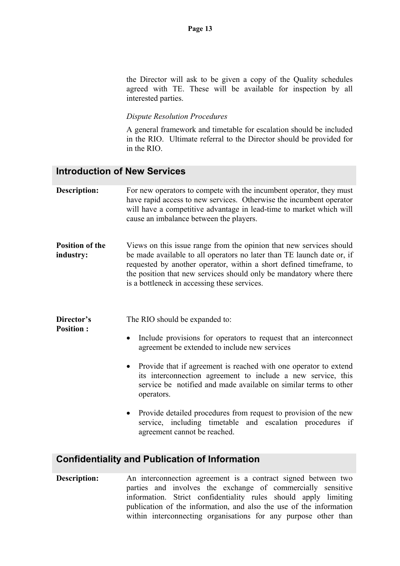the Director will ask to be given a copy of the Quality schedules agreed with TE. These will be available for inspection by all interested parties.

### *Dispute Resolution Procedures*

A general framework and timetable for escalation should be included in the RIO. Ultimate referral to the Director should be provided for in the RIO.

### **Introduction of New Services**

- **Description:** For new operators to compete with the incumbent operator, they must have rapid access to new services. Otherwise the incumbent operator will have a competitive advantage in lead-time to market which will cause an imbalance between the players.
- **Position of the industry:**  Views on this issue range from the opinion that new services should be made available to all operators no later than TE launch date or, if requested by another operator, within a short defined timeframe, to the position that new services should only be mandatory where there is a bottleneck in accessing these services.

**Director's**  The RIO should be expanded to:

**Position :** 

- Include provisions for operators to request that an interconnect agreement be extended to include new services
- Provide that if agreement is reached with one operator to extend its interconnection agreement to include a new service, this service be notified and made available on similar terms to other operators.
- Provide detailed procedures from request to provision of the new service, including timetable and escalation procedures if agreement cannot be reached.

### **Confidentiality and Publication of Information**

**Description:** An interconnection agreement is a contract signed between two parties and involves the exchange of commercially sensitive information. Strict confidentiality rules should apply limiting publication of the information, and also the use of the information within interconnecting organisations for any purpose other than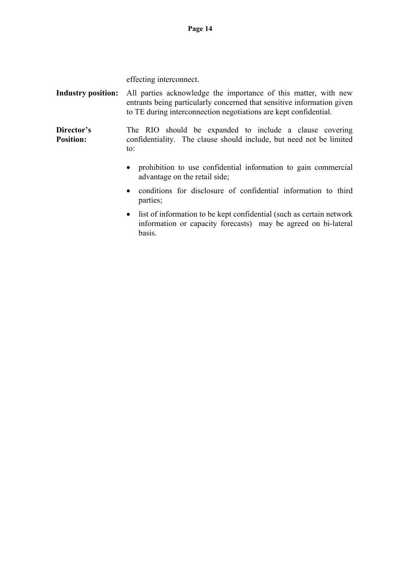effecting interconnect.

**Industry position:** All parties acknowledge the importance of this matter, with new entrants being particularly concerned that sensitive information given to TE during interconnection negotiations are kept confidential.

**Director's Position:**  The RIO should be expanded to include a clause covering confidentiality. The clause should include, but need not be limited to:

- prohibition to use confidential information to gain commercial advantage on the retail side;
- conditions for disclosure of confidential information to third parties;
- list of information to be kept confidential (such as certain network) information or capacity forecasts) may be agreed on bi-lateral basis.